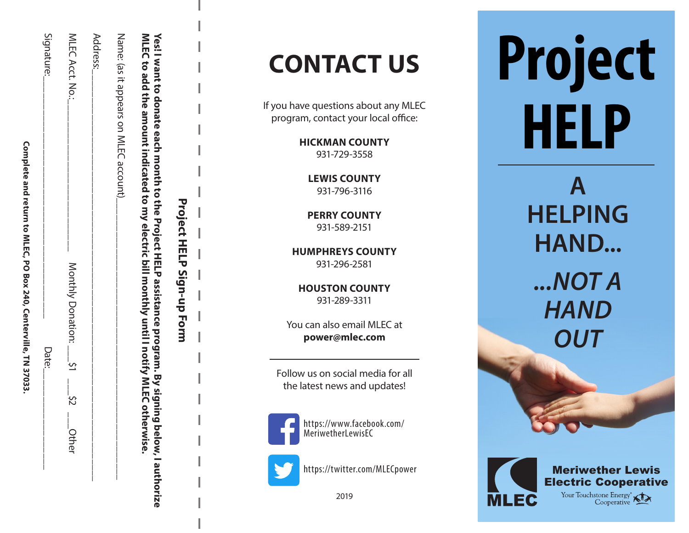| ١                                                                                      |  |
|----------------------------------------------------------------------------------------|--|
| ミューマー                                                                                  |  |
| $\ddot{\phantom{0}}$<br>[<br>$\mathbf{r}$<br><b>AND AND ALL AND ACT</b><br>!<br>!<br>! |  |

| MLEC to add the amount indicated to my electric bill monthly until I notify MLEC of ThEC of NIE | nerwise.     |
|-------------------------------------------------------------------------------------------------|--------------|
| Name: (as it appears on MLEC account)__                                                         | <br> <br>    |
| Address:                                                                                        |              |
| MLEC Acct. No.:<br>╎                                                                            | <b>Other</b> |
| Signature:                                                                                      | Date:        |

# Yes! I want to donate each month to the Project HELP assistance program. By signing below, I authorize **Yes! I want to donate each month to the Project HELP assistance program. By signing below, I authorize**

**Project HELP Sign-up Form**

**Project HELP Sign-up Form** 

# **CONTACT US**

program, contact your local office:

**HICKMAN COUNTY** 931-729-3558

> **LEWIS COUNTY** 931-796-3116

**PERRY COUNTY** 931-589-2151

**HUMPHREYS COUNTY** 931-296-2581

**HOUSTON COUNTY** 931-289-3311

You can also email MLEC at **power@mlec.com**

Follow us on social media for all the latest news and updates!



https://www.facebook.com/ MeriwetherLewisEC



https://twitter.com/MLECpower

2019

**Project** If you have questions about any MLEC<br>program, contact your local office:<br>**HICKMAN COUNTY** 

> **A HELPING HAND...**  *...NOT A HAND OUT*